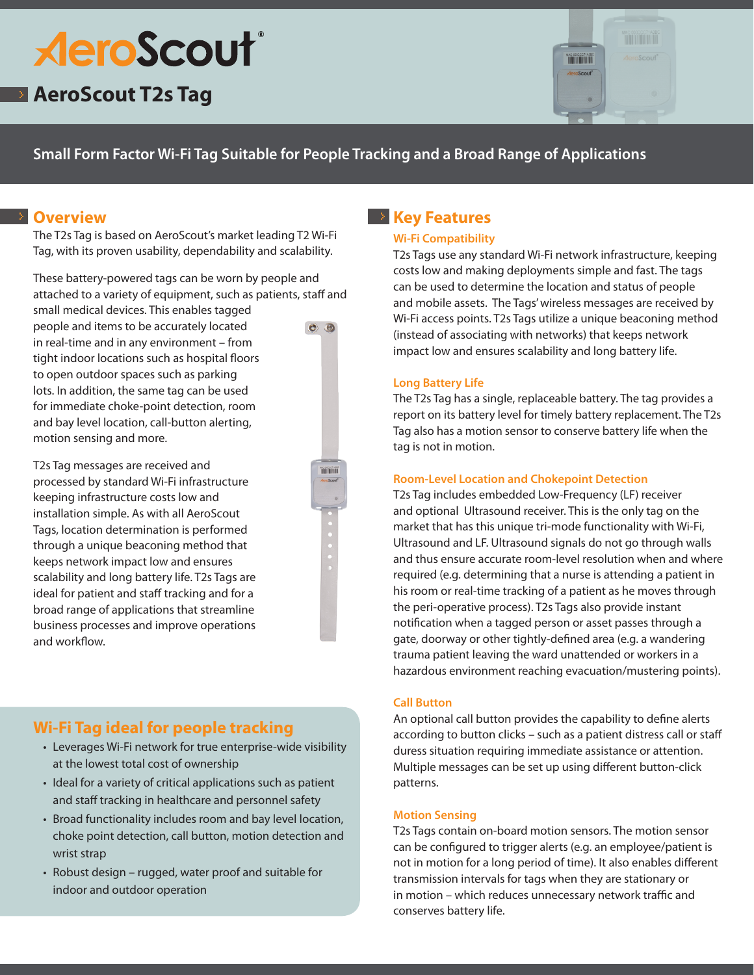# **AeroScout**®

# **AeroScout T2s Tag**



# **Small Form Factor Wi-Fi Tag Suitable for People Tracking and a Broad Range of Applications**

## *P* Overview

The T2s Tag is based on AeroScout's market leading T2 Wi-Fi Tag, with its proven usability, dependability and scalability.

These battery-powered tags can be worn by people and attached to a variety of equipment, such as patients, staff and

small medical devices. This enables tagged people and items to be accurately located in real-time and in any environment – from tight indoor locations such as hospital floors to open outdoor spaces such as parking lots. In addition, the same tag can be used for immediate choke-point detection, room and bay level location, call-button alerting, motion sensing and more.

T2s Tag messages are received and processed by standard Wi-Fi infrastructure keeping infrastructure costs low and installation simple. As with all AeroScout Tags, location determination is performed through a unique beaconing method that keeps network impact low and ensures scalability and long battery life. T2s Tags are ideal for patient and staff tracking and for a broad range of applications that streamline business processes and improve operations and workflow.

# **Wi-Fi Tag ideal for people tracking**

- Leverages Wi-Fi network for true enterprise-wide visibility at the lowest total cost of ownership
- Ideal for a variety of critical applications such as patient and staff tracking in healthcare and personnel safety
- Broad functionality includes room and bay level location, choke point detection, call button, motion detection and wrist strap
- Robust design rugged, water proof and suitable for indoor and outdoor operation

# **Key Features**

#### **Wi-Fi Compatibility**

T2s Tags use any standard Wi-Fi network infrastructure, keeping costs low and making deployments simple and fast. The tags can be used to determine the location and status of people and mobile assets. The Tags'wireless messages are received by Wi-Fi access points. T2s Tags utilize a unique beaconing method (instead of associating with networks) that keeps network impact low and ensures scalability and long battery life.

#### **Long Battery Life**

The T2s Tag has a single, replaceable battery. The tag provides a report on its battery level for timely battery replacement. The T2s Tag also has a motion sensor to conserve battery life when the tag is not in motion.

#### **Room-Level Location and Chokepoint Detection**

T2s Tag includes embedded Low-Frequency (LF) receiver and optional Ultrasound receiver. This is the only tag on the market that has this unique tri-mode functionality with Wi-Fi, Ultrasound and LF. Ultrasound signals do not go through walls and thus ensure accurate room-level resolution when and where required (e.g. determining that a nurse is attending a patient in his room or real-time tracking of a patient as he moves through the peri-operative process). T2s Tags also provide instant notification when a tagged person or asset passes through a gate, doorway or other tightly-defined area (e.g. a wandering trauma patient leaving the ward unattended or workers in a hazardous environment reaching evacuation/mustering points).

#### **Call Button**

An optional call button provides the capability to define alerts according to button clicks – such as a patient distress call or staff duress situation requiring immediate assistance or attention. Multiple messages can be set up using different button-click patterns.

#### **Motion Sensing**

T2s Tags contain on-board motion sensors. The motion sensor can be configured to trigger alerts (e.g. an employee/patient is not in motion for a long period of time). It also enables different transmission intervals for tags when they are stationary or in motion – which reduces unnecessary network traffic and conserves battery life.

 $\bullet$   $\bullet$